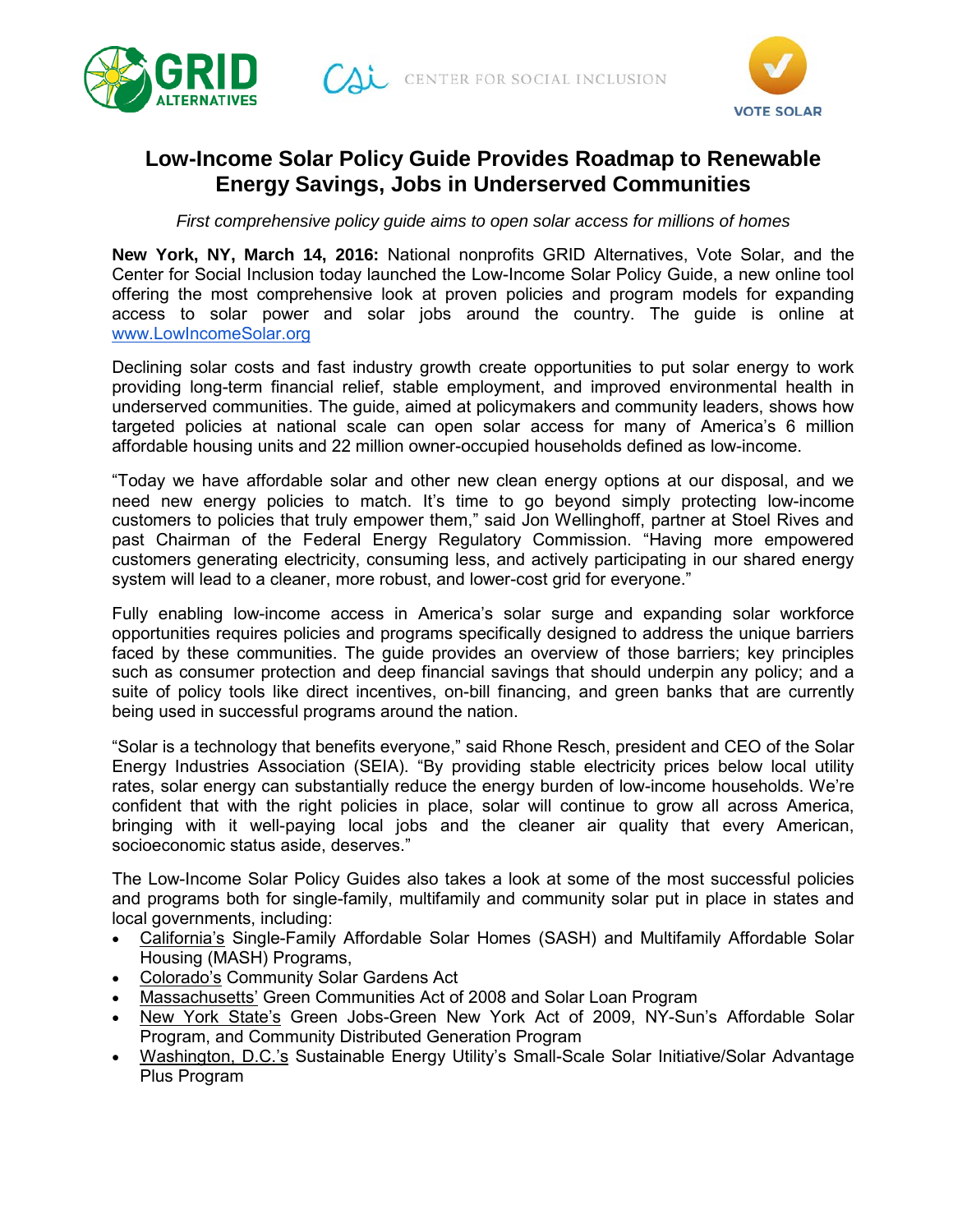



# **Low-Income Solar Policy Guide Provides Roadmap to Renewable Energy Savings, Jobs in Underserved Communities**

*First comprehensive policy guide aims to open solar access for millions of homes*

**New York, NY, March 14, 2016:** National nonprofits GRID Alternatives, Vote Solar, and the Center for Social Inclusion today launched the Low-Income Solar Policy Guide, a new online tool offering the most comprehensive look at proven policies and program models for expanding access to solar power and solar jobs around the country. The guide is online a[t](http://www.lowincomesolar.org/) [www.LowIncomeSolar.org](http://www.lowincomesolar.org/) 

Declining solar costs and fast industry growth create opportunities to put solar energy to work providing long-term financial relief, stable employment, and improved environmental health in underserved communities. The guide, aimed at policymakers and community leaders, shows how targeted policies at national scale can open solar access for many of America's 6 million affordable housing units and 22 million owner-occupied households defined as low-income.

"Today we have affordable solar and other new clean energy options at our disposal, and we need new energy policies to match. It's time to go beyond simply protecting low-income customers to policies that truly empower them," said Jon Wellinghoff, partner at Stoel Rives and past Chairman of the Federal Energy Regulatory Commission. "Having more empowered customers generating electricity, consuming less, and actively participating in our shared energy system will lead to a cleaner, more robust, and lower-cost grid for everyone."

Fully enabling low-income access in America's solar surge and expanding solar workforce opportunities requires policies and programs specifically designed to address the unique barriers faced by these communities. The guide provides an overview of those barriers; key principles such as consumer protection and deep financial savings that should underpin any policy; and a suite of policy tools like direct incentives, on-bill financing, and green banks that are currently being used in successful programs around the nation.

"Solar is a technology that benefits everyone," said Rhone Resch, president and CEO of the Solar Energy Industries Association (SEIA). "By providing stable electricity prices below local utility rates, solar energy can substantially reduce the energy burden of low-income households. We're confident that with the right policies in place, solar will continue to grow all across America, bringing with it well-paying local jobs and the cleaner air quality that every American, socioeconomic status aside, deserves."

The Low-Income Solar Policy Guides also takes a look at some of the most successful policies and programs both for single-family, multifamily and community solar put in place in states and local governments, including:

- California's Single-Family Affordable Solar Homes (SASH) and Multifamily Affordable Solar Housing (MASH) Programs,
- Colorado's Community Solar Gardens Act
- Massachusetts' Green Communities Act of 2008 and Solar Loan Program
- New York State's Green Jobs-Green New York Act of 2009, NY-Sun's Affordable Solar Program, and Community Distributed Generation Program
- Washington, D.C.'s Sustainable Energy Utility's Small-Scale Solar Initiative/Solar Advantage Plus Program